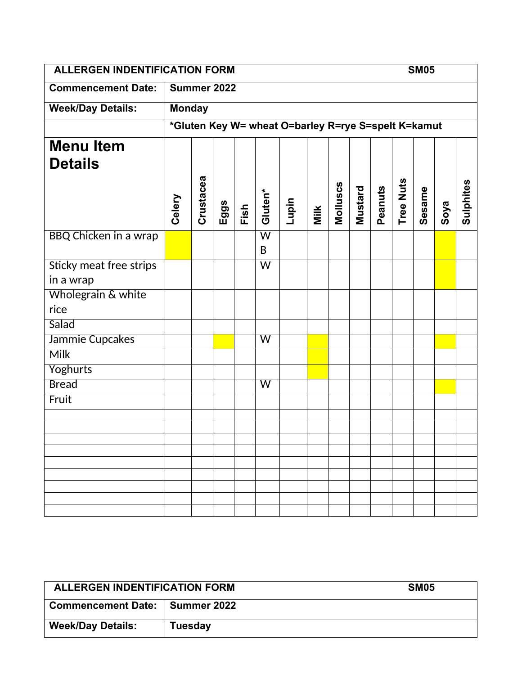| <b>ALLERGEN INDENTIFICATION FORM</b> |               |           |      |      |                              |                                                     |      |          |         |         |           | <b>SM05</b> |      |           |
|--------------------------------------|---------------|-----------|------|------|------------------------------|-----------------------------------------------------|------|----------|---------|---------|-----------|-------------|------|-----------|
| <b>Commencement Date:</b>            | Summer 2022   |           |      |      |                              |                                                     |      |          |         |         |           |             |      |           |
| <b>Week/Day Details:</b>             | <b>Monday</b> |           |      |      |                              |                                                     |      |          |         |         |           |             |      |           |
|                                      |               |           |      |      |                              | *Gluten Key W= wheat O=barley R=rye S=spelt K=kamut |      |          |         |         |           |             |      |           |
| <b>Menu Item</b><br><b>Details</b>   | Celery        | Crustacea | Eggs | Fish | Gluten*                      | Lupin                                               | Milk | Molluscs | Mustard | Peanuts | Tree Nuts | Sesame      | Soya | Sulphites |
| <b>BBQ Chicken in a wrap</b>         |               |           |      |      | $\overline{\mathsf{W}}$<br>B |                                                     |      |          |         |         |           |             |      |           |
| <b>Sticky meat free strips</b>       |               |           |      |      | $\overline{\mathsf{W}}$      |                                                     |      |          |         |         |           |             |      |           |
| in a wrap                            |               |           |      |      |                              |                                                     |      |          |         |         |           |             |      |           |
| Wholegrain & white<br>rice           |               |           |      |      |                              |                                                     |      |          |         |         |           |             |      |           |
| Salad                                |               |           |      |      |                              |                                                     |      |          |         |         |           |             |      |           |
| Jammie Cupcakes                      |               |           |      |      | W                            |                                                     |      |          |         |         |           |             |      |           |
| <b>Milk</b>                          |               |           |      |      |                              |                                                     |      |          |         |         |           |             |      |           |
| Yoghurts                             |               |           |      |      |                              |                                                     |      |          |         |         |           |             |      |           |
| <b>Bread</b>                         |               |           |      |      | W                            |                                                     |      |          |         |         |           |             |      |           |
| Fruit                                |               |           |      |      |                              |                                                     |      |          |         |         |           |             |      |           |
|                                      |               |           |      |      |                              |                                                     |      |          |         |         |           |             |      |           |
|                                      |               |           |      |      |                              |                                                     |      |          |         |         |           |             |      |           |
|                                      |               |           |      |      |                              |                                                     |      |          |         |         |           |             |      |           |
|                                      |               |           |      |      |                              |                                                     |      |          |         |         |           |             |      |           |
|                                      |               |           |      |      |                              |                                                     |      |          |         |         |           |             |      |           |
|                                      |               |           |      |      |                              |                                                     |      |          |         |         |           |             |      |           |
|                                      |               |           |      |      |                              |                                                     |      |          |         |         |           |             |      |           |

| <b>ALLERGEN INDENTIFICATION FORM</b> |                | <b>SM05</b> |
|--------------------------------------|----------------|-------------|
| Commencement Date:   Summer 2022     |                |             |
| <b>Week/Day Details:</b>             | <b>Tuesday</b> |             |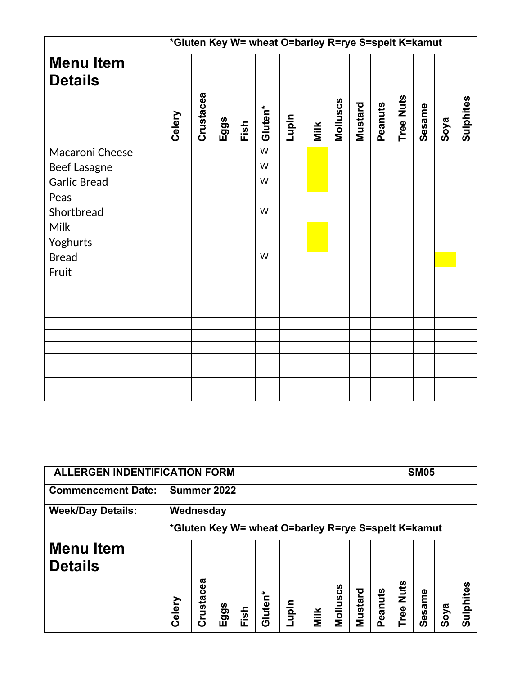|                                    | *Gluten Key W= wheat O=barley R=rye S=spelt K=kamut |           |      |      |                         |       |      |          |         |         |                  |        |      |           |
|------------------------------------|-----------------------------------------------------|-----------|------|------|-------------------------|-------|------|----------|---------|---------|------------------|--------|------|-----------|
| <b>Menu Item</b><br><b>Details</b> | Celery                                              | Crustacea | Eggs | Fish | Gluten*                 | Lupin | Milk | Molluscs | Mustard | Peanuts | <b>Tree Nuts</b> | Sesame | Soya | Sulphites |
| Macaroni Cheese                    |                                                     |           |      |      | $\overline{\mathsf{W}}$ |       |      |          |         |         |                  |        |      |           |
| <b>Beef Lasagne</b>                |                                                     |           |      |      | $\overline{\mathsf{W}}$ |       |      |          |         |         |                  |        |      |           |
| <b>Garlic Bread</b>                |                                                     |           |      |      | $\overline{\mathsf{w}}$ |       |      |          |         |         |                  |        |      |           |
| Peas                               |                                                     |           |      |      |                         |       |      |          |         |         |                  |        |      |           |
| Shortbread                         |                                                     |           |      |      | $\overline{\mathsf{W}}$ |       |      |          |         |         |                  |        |      |           |
| <b>Milk</b>                        |                                                     |           |      |      |                         |       |      |          |         |         |                  |        |      |           |
| <b>Yoghurts</b>                    |                                                     |           |      |      |                         |       |      |          |         |         |                  |        |      |           |
| <b>Bread</b>                       |                                                     |           |      |      | $\overline{W}$          |       |      |          |         |         |                  |        |      |           |
| Fruit                              |                                                     |           |      |      |                         |       |      |          |         |         |                  |        |      |           |
|                                    |                                                     |           |      |      |                         |       |      |          |         |         |                  |        |      |           |
|                                    |                                                     |           |      |      |                         |       |      |          |         |         |                  |        |      |           |
|                                    |                                                     |           |      |      |                         |       |      |          |         |         |                  |        |      |           |
|                                    |                                                     |           |      |      |                         |       |      |          |         |         |                  |        |      |           |
|                                    |                                                     |           |      |      |                         |       |      |          |         |         |                  |        |      |           |
|                                    |                                                     |           |      |      |                         |       |      |          |         |         |                  |        |      |           |
|                                    |                                                     |           |      |      |                         |       |      |          |         |         |                  |        |      |           |
|                                    |                                                     |           |      |      |                         |       |      |          |         |         |                  |        |      |           |
|                                    |                                                     |           |      |      |                         |       |      |          |         |         |                  |        |      |           |

| <b>ALLERGEN INDENTIFICATION FORM</b> |             |                                                     |          |                  |         |      |      |                         |         |             |             | <b>SM05</b> |          |               |
|--------------------------------------|-------------|-----------------------------------------------------|----------|------------------|---------|------|------|-------------------------|---------|-------------|-------------|-------------|----------|---------------|
| <b>Commencement Date:</b>            | Summer 2022 |                                                     |          |                  |         |      |      |                         |         |             |             |             |          |               |
| <b>Week/Day Details:</b>             |             | Wednesday                                           |          |                  |         |      |      |                         |         |             |             |             |          |               |
|                                      |             | *Gluten Key W= wheat O=barley R=rye S=spelt K=kamut |          |                  |         |      |      |                         |         |             |             |             |          |               |
| <b>Menu Item</b><br><b>Details</b>   | Celery      | cea<br>rusta<br>c١                                  | ggs<br>ш | <u>asi</u><br>ш. | Gluten* | upin | Milk | <b>ഗ</b><br>ن<br>Mollus | Mustard | eanuts<br>൨ | Nuts<br>ree | esame<br>ഗ  | oya<br>ഗ | $\Omega$<br>ഗ |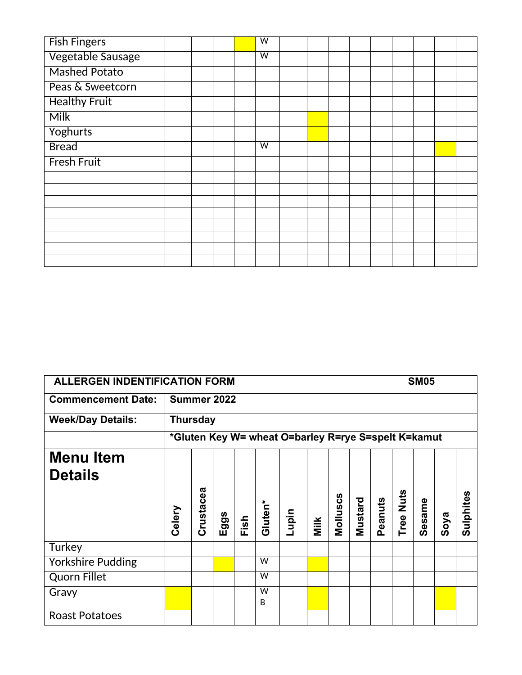| <b>Fish Fingers</b>  |  |  | $\overline{\mathsf{w}}$ |  |  |  |  |  |
|----------------------|--|--|-------------------------|--|--|--|--|--|
| Vegetable Sausage    |  |  | $\overline{\mathsf{w}}$ |  |  |  |  |  |
| <b>Mashed Potato</b> |  |  |                         |  |  |  |  |  |
| Peas & Sweetcorn     |  |  |                         |  |  |  |  |  |
| <b>Healthy Fruit</b> |  |  |                         |  |  |  |  |  |
| <b>Milk</b>          |  |  |                         |  |  |  |  |  |
| Yoghurts             |  |  |                         |  |  |  |  |  |
| <b>Bread</b>         |  |  | $\overline{\mathsf{w}}$ |  |  |  |  |  |
| <b>Fresh Fruit</b>   |  |  |                         |  |  |  |  |  |
|                      |  |  |                         |  |  |  |  |  |
|                      |  |  |                         |  |  |  |  |  |
|                      |  |  |                         |  |  |  |  |  |
|                      |  |  |                         |  |  |  |  |  |
|                      |  |  |                         |  |  |  |  |  |
|                      |  |  |                         |  |  |  |  |  |
|                      |  |  |                         |  |  |  |  |  |
|                      |  |  |                         |  |  |  |  |  |

| <b>ALLERGEN INDENTIFICATION FORM</b> |                 |           |     |      |         |                                                     |      |          |         |         |      | <b>SM05</b> |      |           |
|--------------------------------------|-----------------|-----------|-----|------|---------|-----------------------------------------------------|------|----------|---------|---------|------|-------------|------|-----------|
| <b>Commencement Date:</b>            | Summer 2022     |           |     |      |         |                                                     |      |          |         |         |      |             |      |           |
| <b>Week/Day Details:</b>             | <b>Thursday</b> |           |     |      |         |                                                     |      |          |         |         |      |             |      |           |
|                                      |                 |           |     |      |         | *Gluten Key W= wheat O=barley R=rye S=spelt K=kamut |      |          |         |         |      |             |      |           |
| <b>Menu Item</b>                     |                 |           |     |      |         |                                                     |      |          |         |         |      |             |      |           |
| <b>Details</b>                       |                 |           |     |      |         |                                                     |      |          |         |         |      |             |      |           |
|                                      |                 |           |     |      |         |                                                     |      |          |         |         | Nuts |             |      |           |
|                                      | Celery          | Crustacea | ggs |      | Gluten* |                                                     |      | Molluscs | Mustard | Peanuts |      | Sesame      |      | Sulphites |
|                                      |                 |           | ш   | Fish |         | Lupin                                               | Milk |          |         |         | Tree |             | Soya |           |
| Turkey                               |                 |           |     |      |         |                                                     |      |          |         |         |      |             |      |           |
| <b>Yorkshire Pudding</b>             |                 |           |     |      | W       |                                                     |      |          |         |         |      |             |      |           |
| <b>Quorn Fillet</b>                  |                 |           |     |      | W       |                                                     |      |          |         |         |      |             |      |           |
| Gravy                                |                 |           |     |      | W<br>B  |                                                     |      |          |         |         |      |             |      |           |
| <b>Roast Potatoes</b>                |                 |           |     |      |         |                                                     |      |          |         |         |      |             |      |           |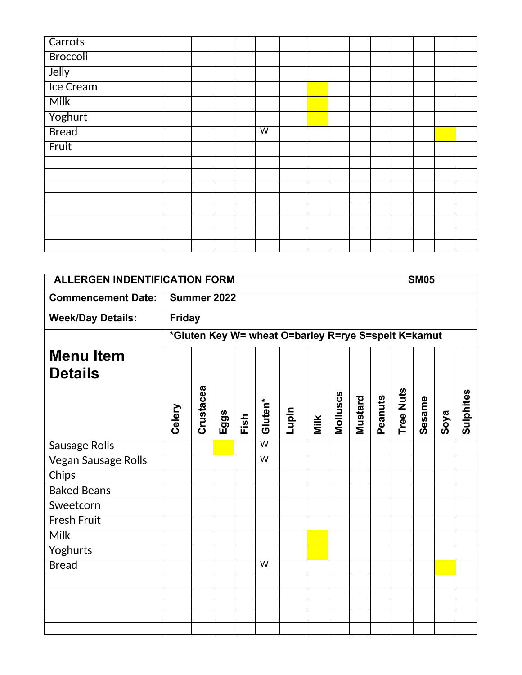| Carrots          |  |  |                |  |  |  |  |  |
|------------------|--|--|----------------|--|--|--|--|--|
| <b>Broccoli</b>  |  |  |                |  |  |  |  |  |
| Jelly            |  |  |                |  |  |  |  |  |
| <b>Ice Cream</b> |  |  |                |  |  |  |  |  |
| <b>Milk</b>      |  |  |                |  |  |  |  |  |
| Yoghurt          |  |  |                |  |  |  |  |  |
| <b>Bread</b>     |  |  | $\overline{w}$ |  |  |  |  |  |
| Fruit            |  |  |                |  |  |  |  |  |
|                  |  |  |                |  |  |  |  |  |
|                  |  |  |                |  |  |  |  |  |
|                  |  |  |                |  |  |  |  |  |
|                  |  |  |                |  |  |  |  |  |
|                  |  |  |                |  |  |  |  |  |
|                  |  |  |                |  |  |  |  |  |
|                  |  |  |                |  |  |  |  |  |
|                  |  |  |                |  |  |  |  |  |

| <b>ALLERGEN INDENTIFICATION FORM</b><br><b>SM05</b><br><b>Commencement Date:</b> |        |                            |      |                         |         |       |      |          |         |         |           |        |                                                             |
|----------------------------------------------------------------------------------|--------|----------------------------|------|-------------------------|---------|-------|------|----------|---------|---------|-----------|--------|-------------------------------------------------------------|
|                                                                                  |        |                            |      |                         |         |       |      |          |         |         |           |        |                                                             |
|                                                                                  |        |                            |      |                         |         |       |      |          |         |         |           |        |                                                             |
|                                                                                  |        |                            |      |                         |         |       |      |          |         |         |           |        |                                                             |
|                                                                                  |        |                            |      |                         |         |       |      |          |         |         |           |        |                                                             |
|                                                                                  |        |                            |      |                         |         |       |      |          |         |         |           |        |                                                             |
|                                                                                  |        |                            |      |                         |         |       |      |          |         |         |           |        |                                                             |
|                                                                                  |        |                            |      |                         |         |       |      |          |         |         |           |        |                                                             |
|                                                                                  |        |                            |      |                         |         |       |      |          |         |         |           |        | Sulphites                                                   |
|                                                                                  |        |                            |      | $\overline{\mathsf{W}}$ |         |       |      |          |         |         |           |        |                                                             |
|                                                                                  |        |                            |      | $\overline{W}$          |         |       |      |          |         |         |           |        |                                                             |
|                                                                                  |        |                            |      |                         |         |       |      |          |         |         |           |        |                                                             |
|                                                                                  |        |                            |      |                         |         |       |      |          |         |         |           |        |                                                             |
|                                                                                  |        |                            |      |                         |         |       |      |          |         |         |           |        |                                                             |
|                                                                                  |        |                            |      |                         |         |       |      |          |         |         |           |        |                                                             |
|                                                                                  |        |                            |      |                         |         |       |      |          |         |         |           |        |                                                             |
|                                                                                  |        |                            |      |                         |         |       |      |          |         |         |           |        |                                                             |
|                                                                                  |        |                            |      | $\overline{\mathsf{w}}$ |         |       |      |          |         |         |           |        |                                                             |
|                                                                                  |        |                            |      |                         |         |       |      |          |         |         |           |        |                                                             |
|                                                                                  |        |                            |      |                         |         |       |      |          |         |         |           |        |                                                             |
|                                                                                  |        |                            |      |                         |         |       |      |          |         |         |           |        |                                                             |
|                                                                                  |        |                            |      |                         |         |       |      |          |         |         |           |        |                                                             |
|                                                                                  | Celery | <b>Friday</b><br>Crustacea | Eggs | Summer 2022<br>Fish     | Gluten* | Lupin | Milk | Molluscs | Mustard | Peanuts | Tree Nuts | Sesame | *Gluten Key W= wheat O=barley R=rye S=spelt K=kamut<br>Soya |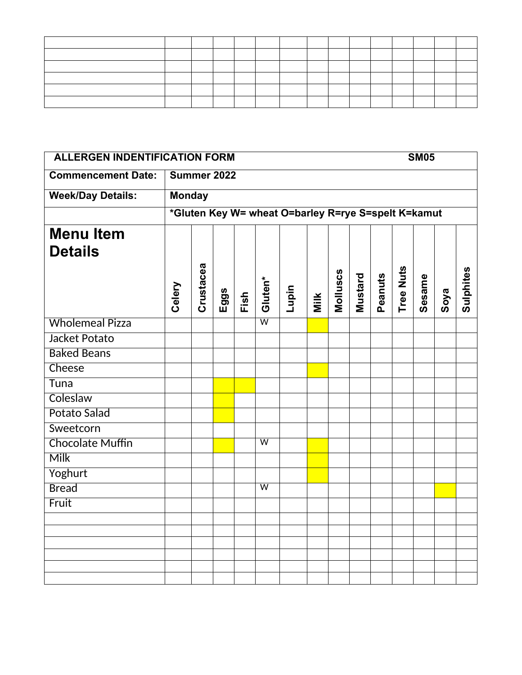|                           | <b>ALLERGEN INDENTIFICATION FORM</b><br><b>SM05</b> |           |      |      |                         |                                                     |      |          |         |         |           |        |      |           |
|---------------------------|-----------------------------------------------------|-----------|------|------|-------------------------|-----------------------------------------------------|------|----------|---------|---------|-----------|--------|------|-----------|
| <b>Commencement Date:</b> | Summer 2022                                         |           |      |      |                         |                                                     |      |          |         |         |           |        |      |           |
| <b>Week/Day Details:</b>  | <b>Monday</b>                                       |           |      |      |                         |                                                     |      |          |         |         |           |        |      |           |
|                           |                                                     |           |      |      |                         | *Gluten Key W= wheat O=barley R=rye S=spelt K=kamut |      |          |         |         |           |        |      |           |
| <b>Menu Item</b>          |                                                     |           |      |      |                         |                                                     |      |          |         |         |           |        |      |           |
| <b>Details</b>            |                                                     |           |      |      |                         |                                                     |      |          |         |         |           |        |      |           |
|                           | Celery                                              | Crustacea | Eggs | Fish | Gluten*                 | Lupin                                               | Milk | Molluscs | Mustard | Peanuts | Tree Nuts | Sesame | Soya | Sulphites |
| <b>Wholemeal Pizza</b>    |                                                     |           |      |      | $\overline{\mathsf{w}}$ |                                                     |      |          |         |         |           |        |      |           |
| Jacket Potato             |                                                     |           |      |      |                         |                                                     |      |          |         |         |           |        |      |           |
| <b>Baked Beans</b>        |                                                     |           |      |      |                         |                                                     |      |          |         |         |           |        |      |           |
| Cheese                    |                                                     |           |      |      |                         |                                                     |      |          |         |         |           |        |      |           |
| Tuna                      |                                                     |           |      |      |                         |                                                     |      |          |         |         |           |        |      |           |
| Coleslaw                  |                                                     |           |      |      |                         |                                                     |      |          |         |         |           |        |      |           |
| Potato Salad              |                                                     |           |      |      |                         |                                                     |      |          |         |         |           |        |      |           |
| Sweetcorn                 |                                                     |           |      |      |                         |                                                     |      |          |         |         |           |        |      |           |
| <b>Chocolate Muffin</b>   |                                                     |           |      |      | $\overline{w}$          |                                                     |      |          |         |         |           |        |      |           |
| <b>Milk</b>               |                                                     |           |      |      |                         |                                                     |      |          |         |         |           |        |      |           |
| Yoghurt                   |                                                     |           |      |      |                         |                                                     |      |          |         |         |           |        |      |           |
| <b>Bread</b>              |                                                     |           |      |      | $\overline{\mathsf{w}}$ |                                                     |      |          |         |         |           |        |      |           |
| Fruit                     |                                                     |           |      |      |                         |                                                     |      |          |         |         |           |        |      |           |
|                           |                                                     |           |      |      |                         |                                                     |      |          |         |         |           |        |      |           |
|                           |                                                     |           |      |      |                         |                                                     |      |          |         |         |           |        |      |           |
|                           |                                                     |           |      |      |                         |                                                     |      |          |         |         |           |        |      |           |
|                           |                                                     |           |      |      |                         |                                                     |      |          |         |         |           |        |      |           |
|                           |                                                     |           |      |      |                         |                                                     |      |          |         |         |           |        |      |           |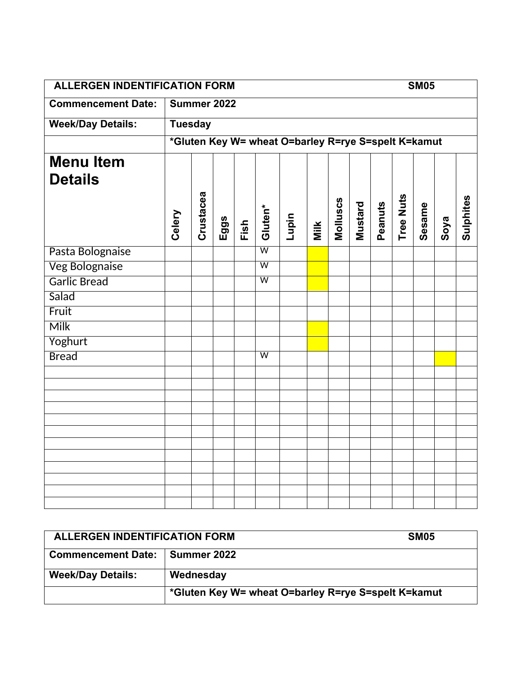| <b>ALLERGEN INDENTIFICATION FORM</b> |                |           |      |      |                         |                                                     |      |          |         |         |           | <b>SM05</b> |      |           |
|--------------------------------------|----------------|-----------|------|------|-------------------------|-----------------------------------------------------|------|----------|---------|---------|-----------|-------------|------|-----------|
| <b>Commencement Date:</b>            | Summer 2022    |           |      |      |                         |                                                     |      |          |         |         |           |             |      |           |
| <b>Week/Day Details:</b>             | <b>Tuesday</b> |           |      |      |                         |                                                     |      |          |         |         |           |             |      |           |
|                                      |                |           |      |      |                         | *Gluten Key W= wheat O=barley R=rye S=spelt K=kamut |      |          |         |         |           |             |      |           |
| <b>Menu Item</b>                     |                |           |      |      |                         |                                                     |      |          |         |         |           |             |      |           |
| <b>Details</b>                       |                |           |      |      |                         |                                                     |      |          |         |         |           |             |      |           |
|                                      | Celery         | Crustacea | Eggs | Fish | Gluten*                 | Lupin                                               | Milk | Molluscs | Mustard | Peanuts | Tree Nuts | Sesame      | Soya | Sulphites |
| Pasta Bolognaise                     |                |           |      |      | $\overline{\mathsf{w}}$ |                                                     |      |          |         |         |           |             |      |           |
| <b>Veg Bolognaise</b>                |                |           |      |      | $\overline{\mathsf{w}}$ |                                                     |      |          |         |         |           |             |      |           |
| Garlic Bread                         |                |           |      |      | $\overline{W}$          |                                                     |      |          |         |         |           |             |      |           |
| Salad                                |                |           |      |      |                         |                                                     |      |          |         |         |           |             |      |           |
| Fruit                                |                |           |      |      |                         |                                                     |      |          |         |         |           |             |      |           |
| <b>Milk</b>                          |                |           |      |      |                         |                                                     |      |          |         |         |           |             |      |           |
| Yoghurt                              |                |           |      |      |                         |                                                     |      |          |         |         |           |             |      |           |
| <b>Bread</b>                         |                |           |      |      | $\overline{\mathsf{w}}$ |                                                     |      |          |         |         |           |             |      |           |
|                                      |                |           |      |      |                         |                                                     |      |          |         |         |           |             |      |           |
|                                      |                |           |      |      |                         |                                                     |      |          |         |         |           |             |      |           |
|                                      |                |           |      |      |                         |                                                     |      |          |         |         |           |             |      |           |
|                                      |                |           |      |      |                         |                                                     |      |          |         |         |           |             |      |           |
|                                      |                |           |      |      |                         |                                                     |      |          |         |         |           |             |      |           |
|                                      |                |           |      |      |                         |                                                     |      |          |         |         |           |             |      |           |
|                                      |                |           |      |      |                         |                                                     |      |          |         |         |           |             |      |           |
|                                      |                |           |      |      |                         |                                                     |      |          |         |         |           |             |      |           |
|                                      |                |           |      |      |                         |                                                     |      |          |         |         |           |             |      |           |
|                                      |                |           |      |      |                         |                                                     |      |          |         |         |           |             |      |           |

| ALLERGEN INDENTIFICATION FORM | <b>SM05</b>                                         |
|-------------------------------|-----------------------------------------------------|
| <b>Commencement Date:</b>     | <b>Summer 2022</b>                                  |
| <b>Week/Day Details:</b>      | Wednesday                                           |
|                               | *Gluten Key W= wheat O=barley R=rye S=spelt K=kamut |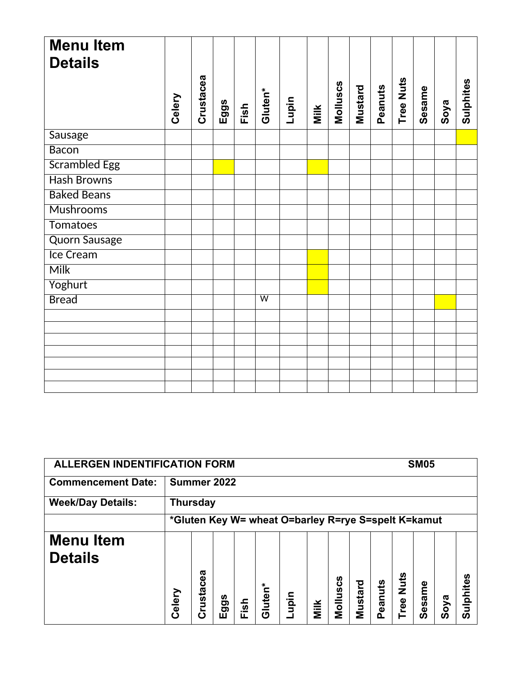| <b>Menu Item</b><br><b>Details</b> |        |           |      |      |                |       |      |          |         |         |                  |        |      |           |
|------------------------------------|--------|-----------|------|------|----------------|-------|------|----------|---------|---------|------------------|--------|------|-----------|
|                                    | Celery | Crustacea | Eggs | Fish | Gluten*        | Lupin | Milk | Molluscs | Mustard | Peanuts | <b>Tree Nuts</b> | Sesame | Soya | Sulphites |
| Sausage                            |        |           |      |      |                |       |      |          |         |         |                  |        |      |           |
| <b>Bacon</b>                       |        |           |      |      |                |       |      |          |         |         |                  |        |      |           |
| <b>Scrambled Egg</b>               |        |           |      |      |                |       |      |          |         |         |                  |        |      |           |
| <b>Hash Browns</b>                 |        |           |      |      |                |       |      |          |         |         |                  |        |      |           |
| <b>Baked Beans</b>                 |        |           |      |      |                |       |      |          |         |         |                  |        |      |           |
| <b>Mushrooms</b>                   |        |           |      |      |                |       |      |          |         |         |                  |        |      |           |
| <b>Tomatoes</b>                    |        |           |      |      |                |       |      |          |         |         |                  |        |      |           |
| <b>Quorn Sausage</b>               |        |           |      |      |                |       |      |          |         |         |                  |        |      |           |
| Ice Cream                          |        |           |      |      |                |       |      |          |         |         |                  |        |      |           |
| <b>Milk</b>                        |        |           |      |      |                |       |      |          |         |         |                  |        |      |           |
| Yoghurt                            |        |           |      |      |                |       |      |          |         |         |                  |        |      |           |
| <b>Bread</b>                       |        |           |      |      | $\overline{W}$ |       |      |          |         |         |                  |        |      |           |
|                                    |        |           |      |      |                |       |      |          |         |         |                  |        |      |           |
|                                    |        |           |      |      |                |       |      |          |         |         |                  |        |      |           |
|                                    |        |           |      |      |                |       |      |          |         |         |                  |        |      |           |
|                                    |        |           |      |      |                |       |      |          |         |         |                  |        |      |           |
|                                    |        |           |      |      |                |       |      |          |         |         |                  |        |      |           |
|                                    |        |           |      |      |                |       |      |          |         |         |                  |        |      |           |

| <b>ALLERGEN INDENTIFICATION FORM</b> | <b>SM05</b>                                         |                            |          |      |         |      |      |                |         |              |             |            |          |               |  |
|--------------------------------------|-----------------------------------------------------|----------------------------|----------|------|---------|------|------|----------------|---------|--------------|-------------|------------|----------|---------------|--|
| <b>Commencement Date:</b>            |                                                     | Summer 2022                |          |      |         |      |      |                |         |              |             |            |          |               |  |
| <b>Week/Day Details:</b>             | <b>Thursday</b>                                     |                            |          |      |         |      |      |                |         |              |             |            |          |               |  |
|                                      | *Gluten Key W= wheat O=barley R=rye S=spelt K=kamut |                            |          |      |         |      |      |                |         |              |             |            |          |               |  |
| <b>Menu Item</b><br><b>Details</b>   | Celery                                              | ᢐ<br>ω<br>Ō<br>rusta<br>Ć١ | ggs<br>ш | Fish | Gluten* | nidn | Milk | ပ္ပိ<br>Mollus | Mustard | eanuts<br>Ő. | Nuts<br>ree | esame<br>Ō | oya<br>Ō | <u>으</u><br>ഗ |  |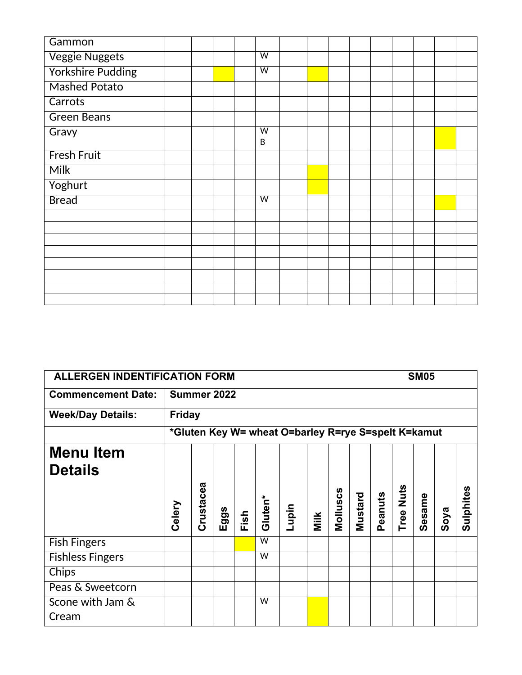| Gammon                   |  |  |                              |  |  |  |  |  |
|--------------------------|--|--|------------------------------|--|--|--|--|--|
| <b>Veggie Nuggets</b>    |  |  | $\overline{W}$               |  |  |  |  |  |
| <b>Yorkshire Pudding</b> |  |  | $\overline{W}$               |  |  |  |  |  |
| <b>Mashed Potato</b>     |  |  |                              |  |  |  |  |  |
| Carrots                  |  |  |                              |  |  |  |  |  |
| <b>Green Beans</b>       |  |  |                              |  |  |  |  |  |
| Gravy                    |  |  | $\overline{\mathsf{w}}$<br>B |  |  |  |  |  |
| <b>Fresh Fruit</b>       |  |  |                              |  |  |  |  |  |
| <b>Milk</b>              |  |  |                              |  |  |  |  |  |
| Yoghurt                  |  |  |                              |  |  |  |  |  |
| <b>Bread</b>             |  |  | $\overline{w}$               |  |  |  |  |  |
|                          |  |  |                              |  |  |  |  |  |
|                          |  |  |                              |  |  |  |  |  |
|                          |  |  |                              |  |  |  |  |  |
|                          |  |  |                              |  |  |  |  |  |
|                          |  |  |                              |  |  |  |  |  |
|                          |  |  |                              |  |  |  |  |  |
|                          |  |  |                              |  |  |  |  |  |
|                          |  |  |                              |  |  |  |  |  |

| <b>ALLERGEN INDENTIFICATION FORM</b>                |           |          |      |                         |       |      |          |         |         |                |        |      |             |
|-----------------------------------------------------|-----------|----------|------|-------------------------|-------|------|----------|---------|---------|----------------|--------|------|-------------|
| Summer 2022                                         |           |          |      |                         |       |      |          |         |         |                |        |      |             |
| <b>Friday</b>                                       |           |          |      |                         |       |      |          |         |         |                |        |      |             |
| *Gluten Key W= wheat O=barley R=rye S=spelt K=kamut |           |          |      |                         |       |      |          |         |         |                |        |      |             |
|                                                     |           |          |      |                         |       |      |          |         |         |                |        |      |             |
|                                                     |           |          |      |                         |       |      |          |         |         |                |        |      |             |
| Celery                                              | Crustacea | ggs<br>ய | Fish | Gluten*                 | Lupin | Milk | Molluscs | Mustard | Peanuts | Nuts<br>Tree I | Sesame | Soya | Sulphites   |
|                                                     |           |          |      | $\overline{\mathsf{w}}$ |       |      |          |         |         |                |        |      |             |
|                                                     |           |          |      | $\overline{\mathsf{w}}$ |       |      |          |         |         |                |        |      |             |
|                                                     |           |          |      |                         |       |      |          |         |         |                |        |      |             |
|                                                     |           |          |      |                         |       |      |          |         |         |                |        |      |             |
|                                                     |           |          |      | W                       |       |      |          |         |         |                |        |      |             |
|                                                     |           |          |      |                         |       |      |          |         |         |                |        |      | <b>SM05</b> |